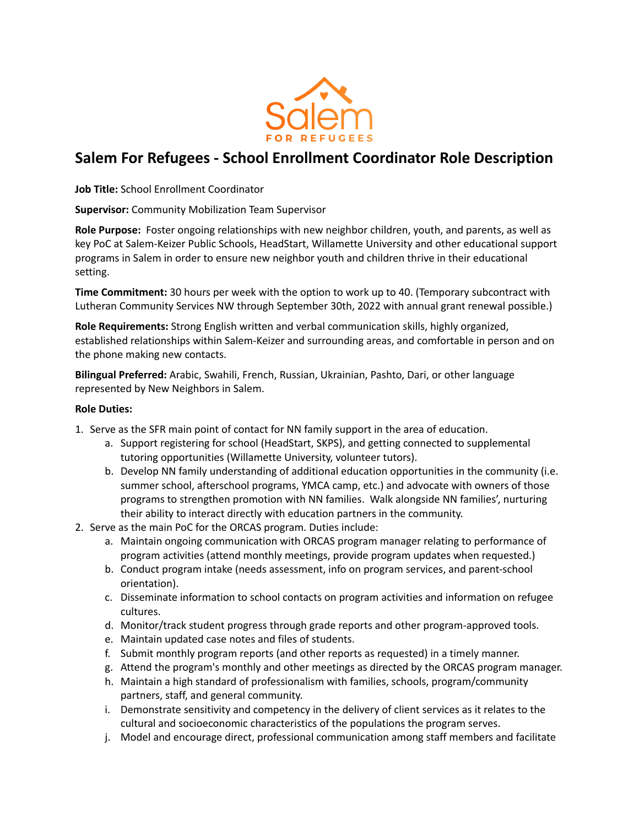

## **Salem For Refugees - School Enrollment Coordinator Role Description**

**Job Title:** School Enrollment Coordinator

**Supervisor:** Community Mobilization Team Supervisor

**Role Purpose:** Foster ongoing relationships with new neighbor children, youth, and parents, as well as key PoC at Salem-Keizer Public Schools, HeadStart, Willamette University and other educational support programs in Salem in order to ensure new neighbor youth and children thrive in their educational setting.

**Time Commitment:** 30 hours per week with the option to work up to 40. (Temporary subcontract with Lutheran Community Services NW through September 30th, 2022 with annual grant renewal possible.)

**Role Requirements:** Strong English written and verbal communication skills, highly organized, established relationships within Salem-Keizer and surrounding areas, and comfortable in person and on the phone making new contacts.

**Bilingual Preferred:** Arabic, Swahili, French, Russian, Ukrainian, Pashto, Dari, or other language represented by New Neighbors in Salem.

## **Role Duties:**

- 1. Serve as the SFR main point of contact for NN family support in the area of education.
	- a. Support registering for school (HeadStart, SKPS), and getting connected to supplemental tutoring opportunities (Willamette University, volunteer tutors).
	- b. Develop NN family understanding of additional education opportunities in the community (i.e. summer school, afterschool programs, YMCA camp, etc.) and advocate with owners of those programs to strengthen promotion with NN families. Walk alongside NN families', nurturing their ability to interact directly with education partners in the community.
- 2. Serve as the main PoC for the ORCAS program. Duties include:
	- a. Maintain ongoing communication with ORCAS program manager relating to performance of program activities (attend monthly meetings, provide program updates when requested.)
	- b. Conduct program intake (needs assessment, info on program services, and parent-school orientation).
	- c. Disseminate information to school contacts on program activities and information on refugee cultures.
	- d. Monitor/track student progress through grade reports and other program-approved tools.
	- e. Maintain updated case notes and files of students.
	- f. Submit monthly program reports (and other reports as requested) in a timely manner.
	- g. Attend the program's monthly and other meetings as directed by the ORCAS program manager.
	- h. Maintain a high standard of professionalism with families, schools, program/community partners, staff, and general community.
	- i. Demonstrate sensitivity and competency in the delivery of client services as it relates to the cultural and socioeconomic characteristics of the populations the program serves.
	- j. Model and encourage direct, professional communication among staff members and facilitate